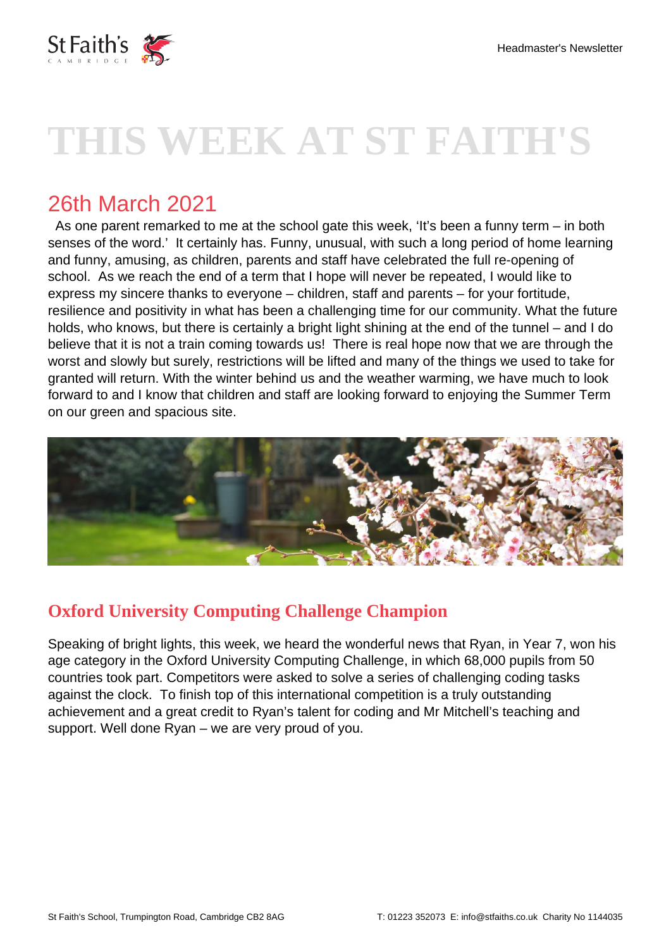

# **THIS WEEK AT ST FAITH'S**

# 26th March 2021

 As one parent remarked to me at the school gate this week, 'It's been a funny term – in both senses of the word.' It certainly has. Funny, unusual, with such a long period of home learning and funny, amusing, as children, parents and staff have celebrated the full re-opening of school. As we reach the end of a term that I hope will never be repeated, I would like to express my sincere thanks to everyone – children, staff and parents – for your fortitude, resilience and positivity in what has been a challenging time for our community. What the future holds, who knows, but there is certainly a bright light shining at the end of the tunnel – and I do believe that it is not a train coming towards us! There is real hope now that we are through the worst and slowly but surely, restrictions will be lifted and many of the things we used to take for granted will return. With the winter behind us and the weather warming, we have much to look forward to and I know that children and staff are looking forward to enjoying the Summer Term on our green and spacious site.



## **Oxford University Computing Challenge Champion**

Speaking of bright lights, this week, we heard the wonderful news that Ryan, in Year 7, won his age category in the Oxford University Computing Challenge, in which 68,000 pupils from 50 countries took part. Competitors were asked to solve a series of challenging coding tasks against the clock. To finish top of this international competition is a truly outstanding achievement and a great credit to Ryan's talent for coding and Mr Mitchell's teaching and support. Well done Ryan – we are very proud of you.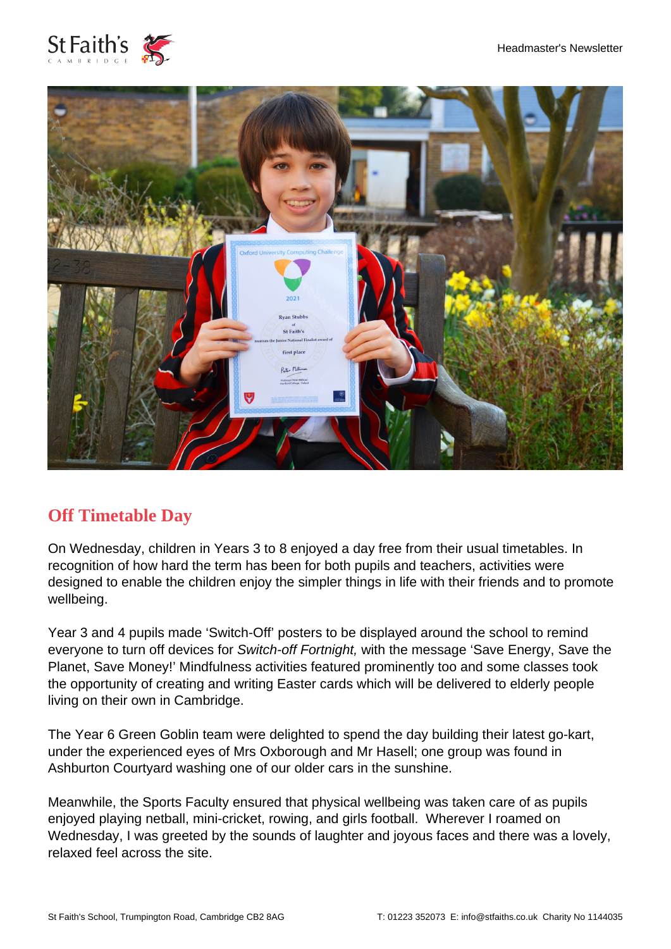



#### **Off Timetable Day**

On Wednesday, children in Years 3 to 8 enjoyed a day free from their usual timetables. In recognition of how hard the term has been for both pupils and teachers, activities were designed to enable the children enjoy the simpler things in life with their friends and to promote wellbeing.

Year 3 and 4 pupils made 'Switch-Off' posters to be displayed around the school to remind everyone to turn off devices for Switch-off Fortnight, with the message 'Save Energy, Save the Planet, Save Money!' Mindfulness activities featured prominently too and some classes took the opportunity of creating and writing Easter cards which will be delivered to elderly people living on their own in Cambridge.

The Year 6 Green Goblin team were delighted to spend the day building their latest go-kart, under the experienced eyes of Mrs Oxborough and Mr Hasell; one group was found in Ashburton Courtyard washing one of our older cars in the sunshine.

Meanwhile, the Sports Faculty ensured that physical wellbeing was taken care of as pupils enjoyed playing netball, mini-cricket, rowing, and girls football. Wherever I roamed on Wednesday, I was greeted by the sounds of laughter and joyous faces and there was a lovely, relaxed feel across the site.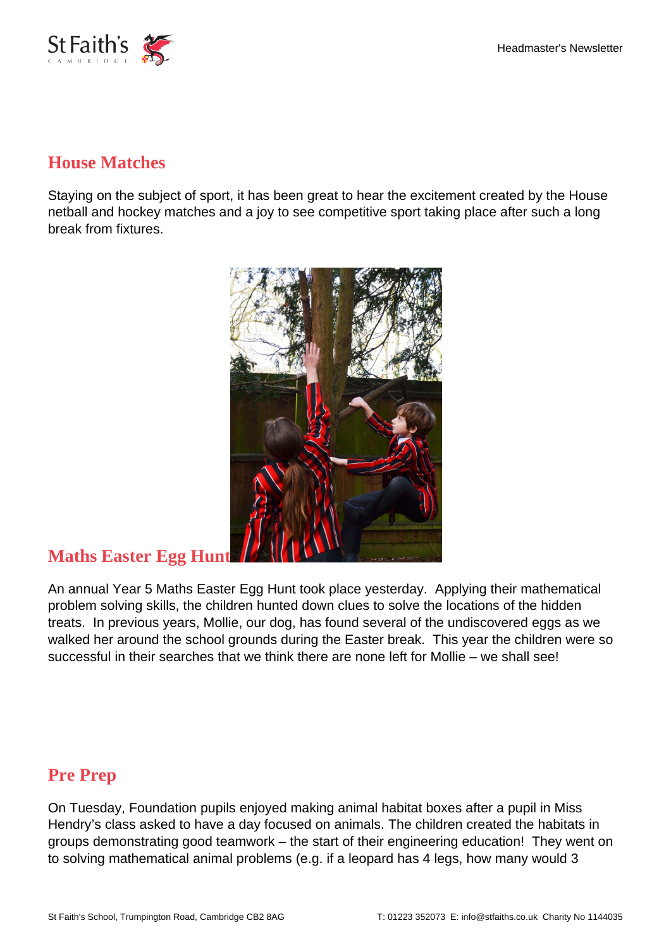

#### **House Matches**

Staying on the subject of sport, it has been great to hear the excitement created by the House netball and hockey matches and a joy to see competitive sport taking place after such a long break from fixtures.



#### **Maths Easter Egg Hunt**

An annual Year 5 Maths Easter Egg Hunt took place yesterday. Applying their mathematical problem solving skills, the children hunted down clues to solve the locations of the hidden treats. In previous years, Mollie, our dog, has found several of the undiscovered eggs as we walked her around the school grounds during the Easter break. This year the children were so successful in their searches that we think there are none left for Mollie – we shall see!

### **Pre Prep**

On Tuesday, Foundation pupils enjoyed making animal habitat boxes after a pupil in Miss Hendry's class asked to have a day focused on animals. The children created the habitats in groups demonstrating good teamwork – the start of their engineering education! They went on to solving mathematical animal problems (e.g. if a leopard has 4 legs, how many would 3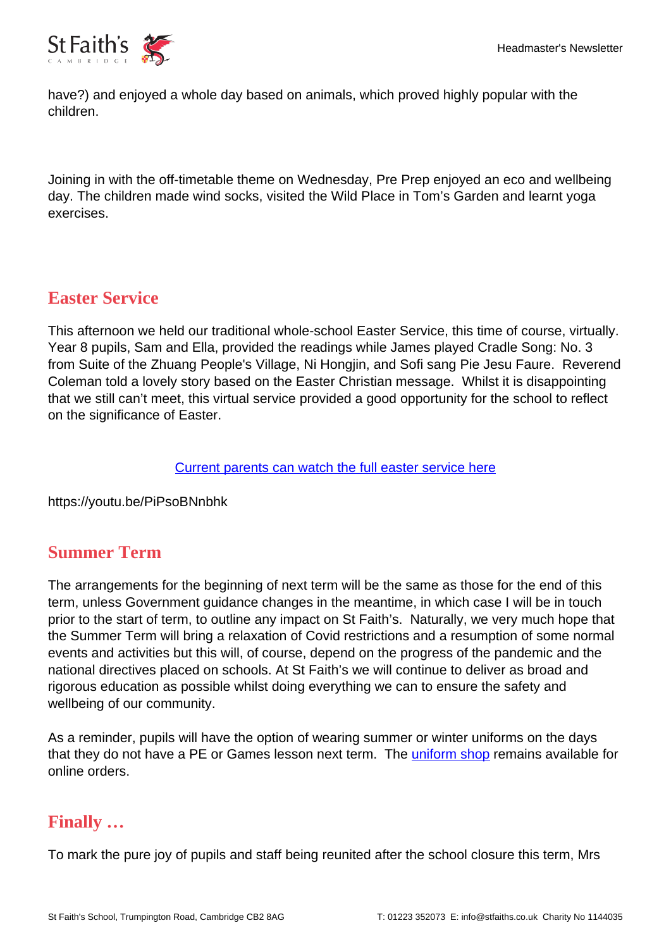

have?) and enjoyed a whole day based on animals, which proved highly popular with the children.

Joining in with the off-timetable theme on Wednesday, Pre Prep enjoyed an eco and wellbeing day. The children made wind socks, visited the Wild Place in Tom's Garden and learnt yoga exercises.

#### **Easter Service**

This afternoon we held our traditional whole-school Easter Service, this time of course, virtually. Year 8 pupils, Sam and Ella, provided the readings while James played Cradle Song: No. 3 from Suite of the Zhuang People's Village, Ni Hongjin, and Sofi sang Pie Jesu Faure. Reverend Coleman told a lovely story based on the Easter Christian message. Whilst it is disappointing that we still can't meet, this virtual service provided a good opportunity for the school to reflect on the significance of Easter.

[Current parents can watch the full easter service here](https://stfaiths.fireflycloud.net/media/easter-service-2021)

https://youtu.be/PiPsoBNnbhk

#### **Summer Term**

The arrangements for the beginning of next term will be the same as those for the end of this term, unless Government guidance changes in the meantime, in which case I will be in touch prior to the start of term, to outline any impact on St Faith's. Naturally, we very much hope that the Summer Term will bring a relaxation of Covid restrictions and a resumption of some normal events and activities but this will, of course, depend on the progress of the pandemic and the national directives placed on schools. At St Faith's we will continue to deliver as broad and rigorous education as possible whilst doing everything we can to ensure the safety and wellbeing of our community.

As a reminder, pupils will have the option of wearing summer or winter uniforms on the days that they do not have a PE or Games lesson next term. The *uniform shop* remains available for online orders.

#### **Finally …**

To mark the pure joy of pupils and staff being reunited after the school closure this term, Mrs